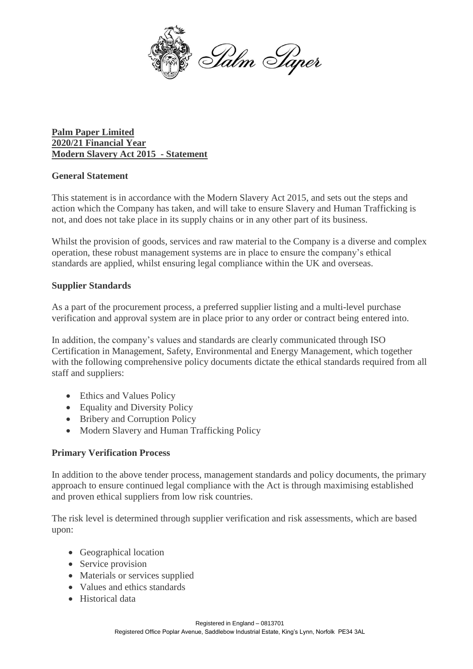

**Palm Paper Limited 2020/21 Financial Year Modern Slavery Act 2015 - Statement**

# **General Statement**

This statement is in accordance with the Modern Slavery Act 2015, and sets out the steps and action which the Company has taken, and will take to ensure Slavery and Human Trafficking is not, and does not take place in its supply chains or in any other part of its business.

Whilst the provision of goods, services and raw material to the Company is a diverse and complex operation, these robust management systems are in place to ensure the company's ethical standards are applied, whilst ensuring legal compliance within the UK and overseas.

# **Supplier Standards**

As a part of the procurement process, a preferred supplier listing and a multi-level purchase verification and approval system are in place prior to any order or contract being entered into.

In addition, the company's values and standards are clearly communicated through ISO Certification in Management, Safety, Environmental and Energy Management, which together with the following comprehensive policy documents dictate the ethical standards required from all staff and suppliers:

- Ethics and Values Policy
- Equality and Diversity Policy
- Bribery and Corruption Policy
- Modern Slavery and Human Trafficking Policy

# **Primary Verification Process**

In addition to the above tender process, management standards and policy documents, the primary approach to ensure continued legal compliance with the Act is through maximising established and proven ethical suppliers from low risk countries.

The risk level is determined through supplier verification and risk assessments, which are based upon:

- Geographical location
- Service provision
- Materials or services supplied
- Values and ethics standards
- Historical data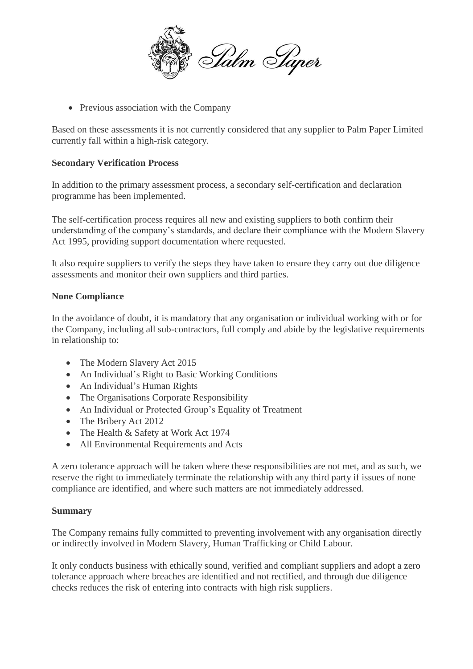

• Previous association with the Company

Based on these assessments it is not currently considered that any supplier to Palm Paper Limited currently fall within a high-risk category.

# **Secondary Verification Process**

In addition to the primary assessment process, a secondary self-certification and declaration programme has been implemented.

The self-certification process requires all new and existing suppliers to both confirm their understanding of the company's standards, and declare their compliance with the Modern Slavery Act 1995, providing support documentation where requested.

It also require suppliers to verify the steps they have taken to ensure they carry out due diligence assessments and monitor their own suppliers and third parties.

### **None Compliance**

In the avoidance of doubt, it is mandatory that any organisation or individual working with or for the Company, including all sub-contractors, full comply and abide by the legislative requirements in relationship to:

- The Modern Slavery Act 2015
- An Individual's Right to Basic Working Conditions
- An Individual's Human Rights
- The Organisations Corporate Responsibility
- An Individual or Protected Group's Equality of Treatment
- The Bribery Act 2012
- The Health & Safety at Work Act 1974
- All Environmental Requirements and Acts

A zero tolerance approach will be taken where these responsibilities are not met, and as such, we reserve the right to immediately terminate the relationship with any third party if issues of none compliance are identified, and where such matters are not immediately addressed.

### **Summary**

The Company remains fully committed to preventing involvement with any organisation directly or indirectly involved in Modern Slavery, Human Trafficking or Child Labour.

It only conducts business with ethically sound, verified and compliant suppliers and adopt a zero tolerance approach where breaches are identified and not rectified, and through due diligence checks reduces the risk of entering into contracts with high risk suppliers.